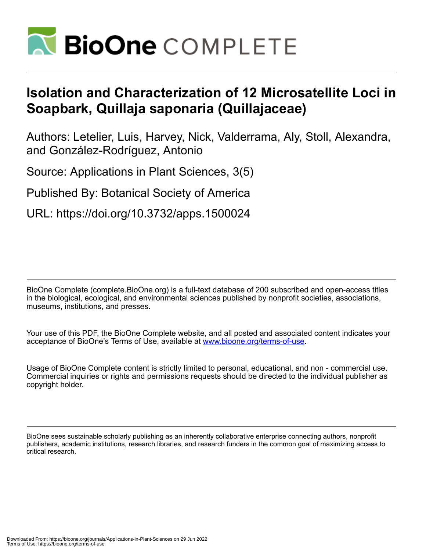

# **Isolation and Characterization of 12 Microsatellite Loci in Soapbark, Quillaja saponaria (Quillajaceae)**

Authors: Letelier, Luis, Harvey, Nick, Valderrama, Aly, Stoll, Alexandra, and González-Rodríguez, Antonio

Source: Applications in Plant Sciences, 3(5)

Published By: Botanical Society of America

URL: https://doi.org/10.3732/apps.1500024

BioOne Complete (complete.BioOne.org) is a full-text database of 200 subscribed and open-access titles in the biological, ecological, and environmental sciences published by nonprofit societies, associations, museums, institutions, and presses.

Your use of this PDF, the BioOne Complete website, and all posted and associated content indicates your acceptance of BioOne's Terms of Use, available at www.bioone.org/terms-of-use.

Usage of BioOne Complete content is strictly limited to personal, educational, and non - commercial use. Commercial inquiries or rights and permissions requests should be directed to the individual publisher as copyright holder.

BioOne sees sustainable scholarly publishing as an inherently collaborative enterprise connecting authors, nonprofit publishers, academic institutions, research libraries, and research funders in the common goal of maximizing access to critical research.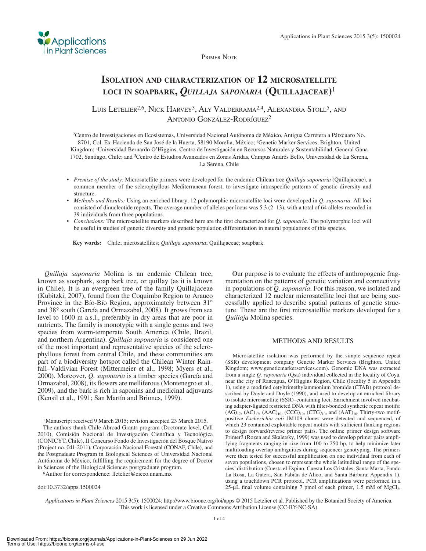

PRIMER NOTE

## **ISOLATION AND CHARACTERIZATION OF 12 MICROSATELLITE LOCI IN SOAPBARK,** *QUILLAJA SAPONARIA* **(QUILLAJACEAE)** <sup>1</sup>

LUIS LETELIER<sup>2,6</sup>, NICK HARVEY<sup>3</sup>, ALY VALDERRAMA<sup>2,4</sup>, ALEXANDRA STOLL<sup>5</sup>, AND ANTONIO GONZÁLEZ-RODRÍGUEZ<sup>2</sup>

<sup>2</sup> Centro de Investigaciones en Ecosistemas, Universidad Nacional Autónoma de México, Antigua Carretera a Pátzcuaro No. 8701, Col. Ex-Hacienda de San José de la Huerta, 58190 Morelia, México; 3 Genetic Marker Services, Brighton, United Kingdom; 4 Universidad Bernardo O'Higgins, Centro de Investigación en Recursos Naturales y Sustentabilidad, General Gana 1702, Santiago, Chile; and <sup>5</sup> Centro de Estudios Avanzados en Zonas Áridas, Campus Andrés Bello, Universidad de La Serena, La Serena, Chile

- *Premise of the study:* Microsatellite primers were developed for the endemic Chilean tree *Quillaja saponaria* (Quillajaceae), a common member of the sclerophyllous Mediterranean forest, to investigate intraspecific patterns of genetic diversity and structure.
- *Methods and Results:* Using an enriched library, 12 polymorphic microsatellite loci were developed in *Q. saponaria* . All loci consisted of dinucleotide repeats. The average number of alleles per locus was  $5.3$  (2–13), with a total of 64 alleles recorded in 39 individuals from three populations.
- *Conclusions:* The microsatellite markers described here are the first characterized for *Q. saponaria*. The polymorphic loci will be useful in studies of genetic diversity and genetic population differentiation in natural populations of this species.

 **Key words:** Chile; microsatellites; *Quillaja saponaria* ; Quillajaceae; soapbark.

*Quillaja saponaria* Molina is an endemic Chilean tree, known as soapbark, soap bark tree, or quillay (as it is known in Chile). It is an evergreen tree of the family Quillajaceae (Kubitzki, 2007), found from the Coquimbo Region to Arauco Province in the Bío-Bío Region, approximately between 31<sup>°</sup> and 38° south (García and Ormazabal, 2008). It grows from sea level to 1600 m a.s.l., preferably in dry areas that are poor in nutrients. The family is monotypic with a single genus and two species from warm-temperate South America (Chile, Brazil, and northern Argentina). *Quillaja saponaria* is considered one of the most important and representative species of the sclerophyllous forest from central Chile, and these communities are part of a biodiversity hotspot called the Chilean Winter Rainfall–Valdivian Forest (Mittermeier et al., 1998; Myers et al., 2000). Moreover, *Q. saponaria* is a timber species (García and Ormazabal, 2008), its flowers are melliferous (Montenegro et al., 2009 ), and the bark is rich in saponins and medicinal adjuvants ( Kensil et al., 1991; San Martín and Briones, 1999).

1 Manuscript received 9 March 2015; revision accepted 23 March 2015.

 The authors thank Chile Abroad Grants program (Doctorate level, Call 2010), Comisión Nacional de Investigación Científica y Tecnológica (CONICYT , Chile), II Concurso Fondo de Investigación del Bosque Nativo (Project no. 041-2011), Corporación Nacional Forestal (CONAF, Chile), and the Postgraduate Program in Biological Sciences of Universidad Nacional Autónoma de México, fulfilling the requirement for the degree of Doctor in Sciences of the Biological Sciences postgraduate program. 6 Author for correspondence: lletelier@cieco.unam.mx

doi:10.3732/apps.1500024

 Our purpose is to evaluate the effects of anthropogenic fragmentation on the patterns of genetic variation and connectivity in populations of *Q. saponaria* . For this reason, we isolated and characterized 12 nuclear microsatellite loci that are being successfully applied to describe spatial patterns of genetic structure. These are the first microsatellite markers developed for a *Quillaja* Molina species .

#### METHODS AND RESULTS

 Microsatellite isolation was performed by the simple sequence repeat (SSR) development company Genetic Marker Services (Brighton, United Kingdom; www.geneticmarkerservices.com). Genomic DNA was extracted from a single *Q. saponaria* (Qsa) individual collected in the locality of Coya, near the city of Rancagua, O'Higgins Region, Chile (locality 5 in Appendix 1), using a modified cetyltrimethylammonium bromide (CTAB) protocol described by Doyle and Doyle (1990), and used to develop an enriched library to isolate microsatellite (SSR)–containing loci. Enrichment involved incubating adapter-ligated restricted DNA with filter-bonded synthetic repeat motifs:  $(AG)_{17}$ ,  $(AC)_{17}$ ,  $(AAC)_{10}$ ,  $(CCG)_{10}$ ,  $(TG)_{10}$ , and  $(AAT)_{10}$ . Thirty-two motifpositive *Escherichia coli* JM109 clones were detected and sequenced, of which 23 contained exploitable repeat motifs with sufficient flanking regions to design forward/reverse primer pairs. The online primer design software Primer3 (Rozen and Skaletsky, 1999) was used to develop primer pairs amplifying fragments ranging in size from 100 to 250 bp, to help minimize later multiloading overlap ambiguities during sequencer genotyping. The primers were then tested for successful amplification on one individual from each of seven populations, chosen to represent the whole latitudinal range of the species' distribution (Cuesta el Espino, Cuesta Los Cristales, Santa Marta, Fundo La Rosa, La Gatera, San Fabián de Alico, and Santa Bárbara; Appendix 1), using a touchdown PCR protocol. PCR amplifications were performed in a 25-μL final volume containing 7 pmol of each primer, 1.5 mM of  $MgCl<sub>2</sub>$ ,

*Applications in Plant Sciences* 2015 3(5): 1500024; http://www.bioone.org/loi/apps © 2015 Letelier et al. Published by the Botanical Society of America. This work is licensed under a Creative Commons Attribution License (CC-BY-NC-SA).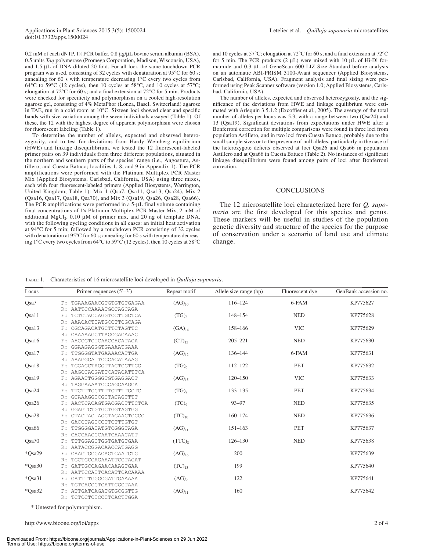0.2 mM of each dNTP,  $1 \times$  PCR buffer, 0.8  $\mu$ g/ $\mu$ L bovine serum albumin (BSA), 0.5 units *Taq* polymerase (Promega Corporation, Madison, Wisconsin, USA), and 1.5 μL of DNA diluted 20-fold. For all loci, the same touchdown PCR program was used, consisting of 32 cycles with denaturation at  $95^{\circ}$ C for 60 s; annealing for 60 s with temperature decreasing  $1^{\circ}$ C every two cycles from 64 $\rm ^{o}C$  to 59 $\rm ^{o}C$  (12 cycles), then 10 cycles at 58 $\rm ^{o}C$ , and 10 cycles at 57 $\rm ^{o}C$ ; elongation at 72 $^{\circ}$ C for 60 s; and a final extension at 72 $^{\circ}$ C for 5 min. Products were checked for specificity and polymorphism on a cooled high-resolution agarose gel, consisting of 4% MetaPhor (Lonza, Basel, Switzerland) agarose in TAE, run in a cold room at  $10^{\circ}$ C. Sixteen loci showed clear and specific bands with size variation among the seven individuals assayed (Table 1). Of these, the 12 with the highest degree of apparent polymorphism were chosen for fluorescent labeling (Table 1).

 To determine the number of alleles, expected and observed heterozygosity, and to test for deviations from Hardy–Weinberg equilibrium (HWE) and linkage disequilibrium, we tested the 12 fluorescent-labeled primer pairs on 39 individuals from three different populations, situated in the northern and southern parts of the species' range (i.e., Angostura, Astillero, and Cuesta Batuco; localities 1, 8, and 9 in Appendix 1). The PCR amplifications were performed with the Platinum Multiplex PCR Master Mix (Applied Biosystems, Carlsbad, California, USA) using three mixes, each with four fluorescent-labeled primers (Applied Biosystems, Warrington, United Kingdom; Table 1): Mix 1 (Qsa7, Qsa11, Qsa13, Qsa24), Mix 2 (Qsa16, Qsa17, Qsa18, Qsa70), and Mix 3 (Qsa19, Qsa26, Qsa28, Qsa66). The PCR amplifications were performed in a 5-μL final volume containing final concentrations of  $1 \times$  Platinum Multiplex PCR Master Mix, 2 mM of additional MgCl<sub>2</sub>, 0.10  $\mu$ M of primer mix, and 20 ng of template DNA, with the following cycling conditions in all cases: an initial heat activation at 94°C for 5 min; followed by a touchdown PCR consisting of 32 cycles with denaturation at  $95^{\circ}$ C for 60 s; annealing for 60 s with temperature decreasing 1°C every two cycles from 64°C to 59°C (12 cycles), then 10 cycles at 58°C

and 10 cycles at 57°C; elongation at 72°C for 60 s; and a final extension at 72°C for 5 min. The PCR products  $(2 \mu L)$  were mixed with 10  $\mu L$  of Hi-Di formamide and 0.3 μL of GeneScan 600 LIZ Size Standard before analysis on an automatic ABI-PRISM 3100-Avant sequencer (Applied Biosystems, Carlsbad, California, USA). Fragment analysis and final sizing were performed using Peak Scanner software (version 1.0; Applied Biosystems, Carlsbad, California, USA).

 The number of alleles, expected and observed heterozygosity, and the significance of the deviations from HWE and linkage equilibrium were estimated with Arlequin  $3.5.1.2$  (Excoffier et al., 2005). The average of the total number of alleles per locus was 5.3, with a range between two (Qsa24) and 13 (Qsa19). Significant deviations from expectations under HWE after a Bonferroni correction for multiple comparisons were found in three loci from population Astillero, and in two loci from Cuesta Batuco, probably due to the small sample sizes or to the presence of null alleles, particularly in the case of the heterozygote deficits observed at loci Qsa26 and Qsa66 in population Astillero and at Qsa66 in Cuesta Batuco (Table 2). No instances of significant linkage disequilibrium were found among pairs of loci after Bonferroni correction.

#### **CONCLUSIONS**

 The 12 microsatellite loci characterized here for *Q. saponaria* are the first developed for this species and genus. These markers will be useful in studies of the population genetic diversity and structure of the species for the purpose of conservation under a scenario of land use and climate change.

TABLE 1. Characteristics of 16 microsatellite loci developed in *Quillaja saponaria* .

| Locus    |       | Primer sequences $(5'–3')$ | Repeat motif        | Allele size range (bp) | Fluorescent dye | GenBank accession no. |
|----------|-------|----------------------------|---------------------|------------------------|-----------------|-----------------------|
| Qsa7     |       | F: TGAAAGAACGTGTGTGTGAGAA  | $(AG)_{10}$         | $116 - 124$            | 6-FAM           | KP775627              |
|          |       | R: AATTCCAAAATGCCAGCAGA    |                     |                        |                 |                       |
| Qsa11    | F:    | TCTCTACCAGGTCCTTGCTCA      | $(TG)_{8}$          | 148-154                | <b>NED</b>      | KP775628              |
|          | R:    | AAACACTTATGCCTTCGCAGA      |                     |                        |                 |                       |
| Qsa13    | F:    | CGCAGACATGCTTCTAGTTC       | $(GA)_{14}$         | 158-166                | <b>VIC</b>      | KP775629              |
|          | R:    | CAAAAAGCTTAGCGACAAAC       |                     |                        |                 |                       |
| Qsa16    | F:    | AACCGTCTCAACCACATACA       | $(CT)_{15}$         | $205 - 221$            | <b>NED</b>      | KP775630              |
|          | R:    | GGAAGAGGGTGAAAATGAAA       |                     |                        |                 |                       |
| Qsa17    | F:    | TTGGGGTATGAAAACATTGA       | $(AG)_{12}$         | $136 - 144$            | 6-FAM           | KP775631              |
|          | R:    | AAAGGCATTCCCACATAAAG       |                     |                        |                 |                       |
| Qsa18    | $F$ : | TGGAGCTAGGTTACTCGTTGG      | (TG) <sub>6</sub>   | 112-122                | <b>PET</b>      | KP775632              |
|          | R:    | AAGCCACGATTCATACATTTCA     |                     |                        |                 |                       |
| Qsa19    | F:    | AGAATTGGGGTGTGAGGACT       | $(AG)_{15}$         | $120 - 150$            | <b>VIC</b>      | KP775633              |
|          | R:    | TAGGAAAATCCCAGCAAGCA       |                     |                        |                 |                       |
| Qsa24    | F:    | TTCTTTGGTTTTGTTTTGCTC      | $(TG)$ <sup>o</sup> | $133 - 135$            | <b>PET</b>      | KP775634              |
|          | R:    | GCAAAGGTCGCTACAGTTTT       |                     |                        |                 |                       |
| Qsa26    | F:    | AACTCACAGTGACGACTTTCTCA    | $(TC)$ <sup>o</sup> | $93 - 97$              | <b>NED</b>      | KP775635              |
|          | R:    | GGAGTCTGTGCTGGTAGTGG       |                     |                        |                 |                       |
| Osa28    | F:    | GTACTACTAGCTAGAACTCCCC     | $(TC)_{10}$         | $160 - 174$            | <b>NED</b>      | KP775636              |
|          | R:    | GACCTAGTCCTTCTTTGTGT       |                     |                        |                 |                       |
| Qsa66    | F:    | TTGGGGATATGTCGGGTAGA       | $(AG)_{11}$         | $151 - 163$            | <b>PET</b>      | KP775637              |
|          | R:    | CACCAACGCAATCAAACATT       |                     |                        |                 |                       |
| Osa70    | F:    | TTTGGAGCTGGTGATGTGAA       | $(TTC)_{8}$         | $126 - 130$            | <b>NED</b>      | KP775638              |
|          | R:    | AATACCGGACAACCATGAGG       |                     |                        |                 |                       |
| *Qsa29   | $F$ : | CAAGTGCGACAGTCAATCTG       | $(AG)_{16}$         | 200                    |                 | KP775639              |
|          | R:    | TGCTGCCAGAAATTCCTAGAT      |                     |                        |                 |                       |
| *Osa30   | F:    | GATTGCCAGAACAAAGTGAA       | $(TC)_{13}$         | 199                    |                 | KP775640              |
|          | R:    | AATTCCATTCACATTCACAAAA     |                     |                        |                 |                       |
| *Qsa31   | $F$ : | GATTTTGGGCGATTGAAAAA       | $(AG)_{9}$          | 122                    |                 | KP775641              |
|          | R:    | TGTCACCGTCATTCGCTAAA       |                     |                        |                 |                       |
| $*Osa32$ | F÷.   | ATTGATCAGATGTGCGGTTG       | $(AG)_{11}$         | 160                    |                 | KP775642              |
|          | R:    | TCTCCTCTCCCTCACTTGGA       |                     |                        |                 |                       |

\* Untested for polymorphism.

http://www.bioone.org/loi/apps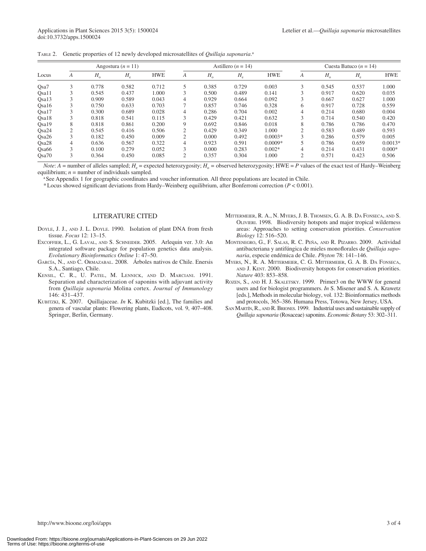|  | TABLE 2. Genetic properties of 12 newly developed microsatellites of Quillaja saponaria. <sup>a</sup> |  |  |  |  |  |  |
|--|-------------------------------------------------------------------------------------------------------|--|--|--|--|--|--|
|--|-------------------------------------------------------------------------------------------------------|--|--|--|--|--|--|

|                   |        |             | Angostura ( $n = 11$ ) |            |                |             | Astillero ( $n = 14$ ) |            |                |             | Cuesta Batuco ( $n = 14$ ) |            |
|-------------------|--------|-------------|------------------------|------------|----------------|-------------|------------------------|------------|----------------|-------------|----------------------------|------------|
| Locus             | A      | $H_{\rm o}$ | $H_{\rm e}$            | <b>HWE</b> | A              | $H_{\rm o}$ | $H_{\rm e}$            | <b>HWE</b> | A              | $H_{\rm o}$ | $H_e$                      | <b>HWE</b> |
| Osa <sub>7</sub>  | 3      | 0.778       | 0.582                  | 0.712      | 5              | 0.385       | 0.729                  | 0.003      | 3              | 0.545       | 0.537                      | 1.000      |
| Qsa11             |        | 0.545       | 0.437                  | 1.000      | 3              | 0.500       | 0.489                  | 0.141      |                | 0.917       | 0.620                      | 0.035      |
| Osa13             |        | 0.909       | 0.589                  | 0.043      | 4              | 0.929       | 0.664                  | 0.092      |                | 0.667       | 0.627                      | 1.000      |
| Osa16             |        | 0.750       | 0.633                  | 0.703      | 7              | 0.857       | 0.746                  | 0.328      | 6              | 0.917       | 0.728                      | 0.559      |
| Osa17             |        | 0.300       | 0.689                  | 0.028      | 4              | 0.286       | 0.704                  | 0.002      | 4              | 0.214       | 0.680                      | 0.004      |
| Osa18             |        | 0.818       | 0.541                  | 0.115      | 3              | 0.429       | 0.421                  | 0.632      | 3              | 0.714       | 0.540                      | 0.420      |
| Qsa19             | 8      | 0.818       | 0.861                  | 0.200      | 9              | 0.692       | 0.846                  | 0.018      | 8              | 0.786       | 0.786                      | 0.470      |
| Osa24             | C      | 0.545       | 0.416                  | 0.506      | 2              | 0.429       | 0.349                  | 1.000      | $\bigcirc$     | 0.583       | 0.489                      | 0.593      |
| Osa26             | $\sim$ | 0.182       | 0.450                  | 0.009      | $\overline{c}$ | 0.000       | 0.492                  | $0.0003*$  | 3              | 0.286       | 0.579                      | 0.005      |
| Qsa28             | 4      | 0.636       | 0.567                  | 0.322      | 4              | 0.923       | 0.591                  | $0.0009*$  |                | 0.786       | 0.659                      | $0.0013*$  |
| Osa <sub>66</sub> | 3      | 0.100       | 0.279                  | 0.052      | 3              | 0.000       | 0.283                  | $0.002*$   | 4              | 0.214       | 0.431                      | $0.000*$   |
| Osa70             | 3      | 0.364       | 0.450                  | 0.085      | 2              | 0.357       | 0.304                  | 1.000      | $\overline{2}$ | 0.571       | 0.423                      | 0.506      |

*Note*:  $A$  = number of alleles sampled;  $H_e$  = expected heterozygosity;  $H_o$  = observed heterozygosity; HWE = *P* values of the exact test of Hardy–Weinberg equilibrium;  $n =$  number of individuals sampled.

<sup>a</sup> See Appendix 1 for geographic coordinates and voucher information. All three populations are located in Chile.

\* Locus showed significant deviations from Hardy–Weinberg equilibrium, after Bonferroni correction  $(P < 0.001)$ .

### LITERATURE CITED

- DOYLE, J. J., AND J. L. DOYLE. 1990. Isolation of plant DNA from fresh tissue. *Focus* 12: 13-15.
- EXCOFFIER, L., G. LAVAL, AND S. SCHNEIDER. 2005. Arlequin ver. 3.0: An integrated software package for population genetics data analysis. *Evolutionary Bioinformatics Online* 1: 47-50.
- GARCÍA, N., AND C. ORMAZABAL. 2008. Árboles nativos de Chile. Enersis S.A., Santiago, Chile.
- KENSIL, C. R., U. PATEL, M. LENNICK, AND D. MARCIANI. 1991. Separation and characterization of saponins with adjuvant activity from *Quillaja saponaria* Molina cortex. *Journal of Immunology* 146: 431-437.
- KUBITZKI, K. 2007. Quillajaceae. *In* K. Kubitzki [ed.], The families and genera of vascular plants: Flowering plants, Eudicots, vol. 9, 407–408. Springer, Berlin, Germany.
- MITTERMEIER, R. A., N. MYERS, J. B. THOMSEN, G. A. B. DA FONSECA, AND S. OLIVIERI. 1998. Biodiversity hotspots and major tropical wilderness areas: Approaches to setting conservation priorities. *Conservation Biology* 12: 516-520.
- MONTENEGRO, G., F. SALAS, R. C. PEÑA, AND R. PIZARRO. 2009. Actividad antibacteriana y antifúngica de mieles monoflorales de Quillaja sapo*naria*, especie endémica de Chile. *Phyton* 78: 141-146.
- MYERS, N., R. A. MITTERMEIER, C. G. MITTERMEIER, G. A. B. DA FONSECA, AND J. KENT. 2000. Biodiversity hotspots for conservation priorities. Nature 403: 853-858.
- ROZEN, S., AND H. J. SKALETSKY. 1999. Primer3 on the WWW for general users and for biologist programmers . *In* S. Misener and S. A. Krawetz [eds.], Methods in molecular biology, vol. 132: Bioinformatics methods and protocols, 365–386. Humana Press, Totowa, New Jersey, USA.
- SAN MARTÍN, R., AND R. BRIONES. 1999. Industrial uses and sustainable supply of *Quillaja saponaria* (Rosaceae) saponins. *Economic Botany* 53 : 302 – 311 .